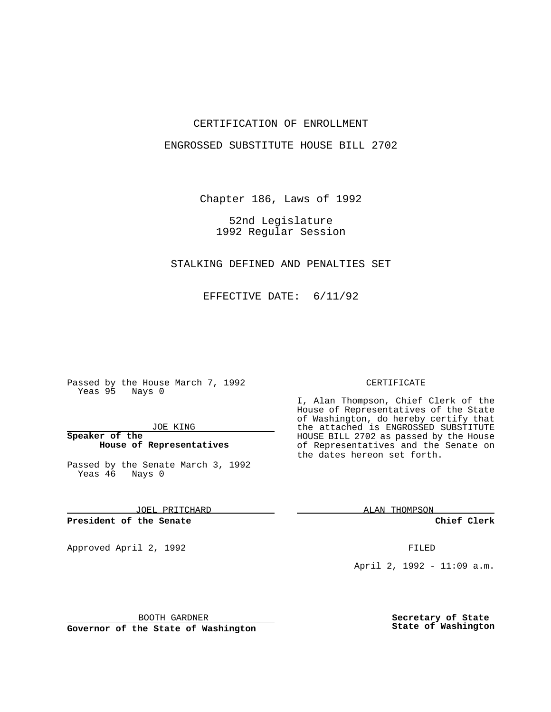### CERTIFICATION OF ENROLLMENT

### ENGROSSED SUBSTITUTE HOUSE BILL 2702

Chapter 186, Laws of 1992

52nd Legislature 1992 Regular Session

STALKING DEFINED AND PENALTIES SET

EFFECTIVE DATE: 6/11/92

Passed by the House March 7, 1992 Yeas 95 Nays 0

JOE KING

**Speaker of the House of Representatives**

Passed by the Senate March 3, 1992 Yeas 46 Nays 0

JOEL PRITCHARD

**President of the Senate**

Approved April 2, 1992 **FILED** 

BOOTH GARDNER

**Governor of the State of Washington**

#### CERTIFICATE

I, Alan Thompson, Chief Clerk of the House of Representatives of the State of Washington, do hereby certify that the attached is ENGROSSED SUBSTITUTE HOUSE BILL 2702 as passed by the House of Representatives and the Senate on the dates hereon set forth.

ALAN THOMPSON

**Chief Clerk**

April 2, 1992 - 11:09 a.m.

**Secretary of State State of Washington**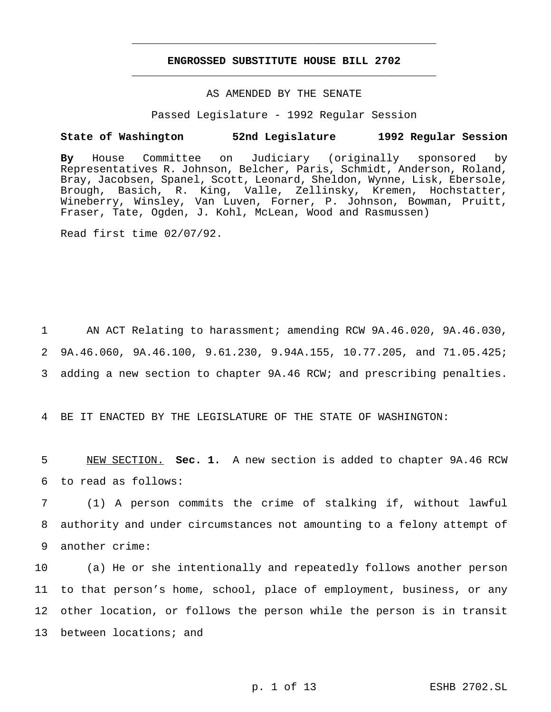## **ENGROSSED SUBSTITUTE HOUSE BILL 2702** \_\_\_\_\_\_\_\_\_\_\_\_\_\_\_\_\_\_\_\_\_\_\_\_\_\_\_\_\_\_\_\_\_\_\_\_\_\_\_\_\_\_\_\_\_\_\_

\_\_\_\_\_\_\_\_\_\_\_\_\_\_\_\_\_\_\_\_\_\_\_\_\_\_\_\_\_\_\_\_\_\_\_\_\_\_\_\_\_\_\_\_\_\_\_

# AS AMENDED BY THE SENATE

Passed Legislature - 1992 Regular Session

#### **State of Washington 52nd Legislature 1992 Regular Session**

**By** House Committee on Judiciary (originally sponsored by Representatives R. Johnson, Belcher, Paris, Schmidt, Anderson, Roland, Bray, Jacobsen, Spanel, Scott, Leonard, Sheldon, Wynne, Lisk, Ebersole, Brough, Basich, R. King, Valle, Zellinsky, Kremen, Hochstatter, Wineberry, Winsley, Van Luven, Forner, P. Johnson, Bowman, Pruitt, Fraser, Tate, Ogden, J. Kohl, McLean, Wood and Rasmussen)

Read first time 02/07/92.

1 AN ACT Relating to harassment; amending RCW 9A.46.020, 9A.46.030, 2 9A.46.060, 9A.46.100, 9.61.230, 9.94A.155, 10.77.205, and 71.05.425; 3 adding a new section to chapter 9A.46 RCW; and prescribing penalties.

4 BE IT ENACTED BY THE LEGISLATURE OF THE STATE OF WASHINGTON:

5 NEW SECTION. **Sec. 1.** A new section is added to chapter 9A.46 RCW 6 to read as follows:

7 (1) A person commits the crime of stalking if, without lawful 8 authority and under circumstances not amounting to a felony attempt of 9 another crime:

 (a) He or she intentionally and repeatedly follows another person to that person's home, school, place of employment, business, or any other location, or follows the person while the person is in transit 13 between locations; and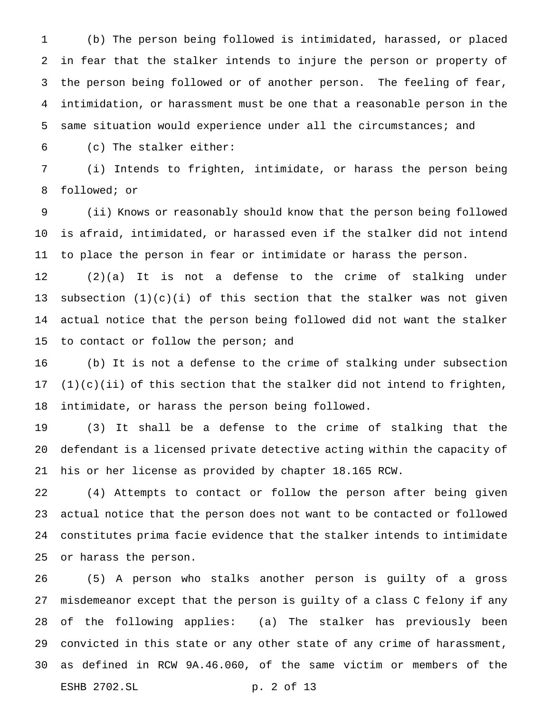(b) The person being followed is intimidated, harassed, or placed in fear that the stalker intends to injure the person or property of the person being followed or of another person. The feeling of fear, intimidation, or harassment must be one that a reasonable person in the same situation would experience under all the circumstances; and

(c) The stalker either:

 (i) Intends to frighten, intimidate, or harass the person being followed; or

 (ii) Knows or reasonably should know that the person being followed is afraid, intimidated, or harassed even if the stalker did not intend to place the person in fear or intimidate or harass the person.

 (2)(a) It is not a defense to the crime of stalking under 13 subsection  $(1)(c)(i)$  of this section that the stalker was not given actual notice that the person being followed did not want the stalker 15 to contact or follow the person; and

 (b) It is not a defense to the crime of stalking under subsection (1)(c)(ii) of this section that the stalker did not intend to frighten, intimidate, or harass the person being followed.

 (3) It shall be a defense to the crime of stalking that the defendant is a licensed private detective acting within the capacity of his or her license as provided by chapter 18.165 RCW.

 (4) Attempts to contact or follow the person after being given actual notice that the person does not want to be contacted or followed constitutes prima facie evidence that the stalker intends to intimidate or harass the person.

 (5) A person who stalks another person is guilty of a gross misdemeanor except that the person is guilty of a class C felony if any of the following applies: (a) The stalker has previously been convicted in this state or any other state of any crime of harassment, as defined in RCW 9A.46.060, of the same victim or members of the ESHB 2702.SL p. 2 of 13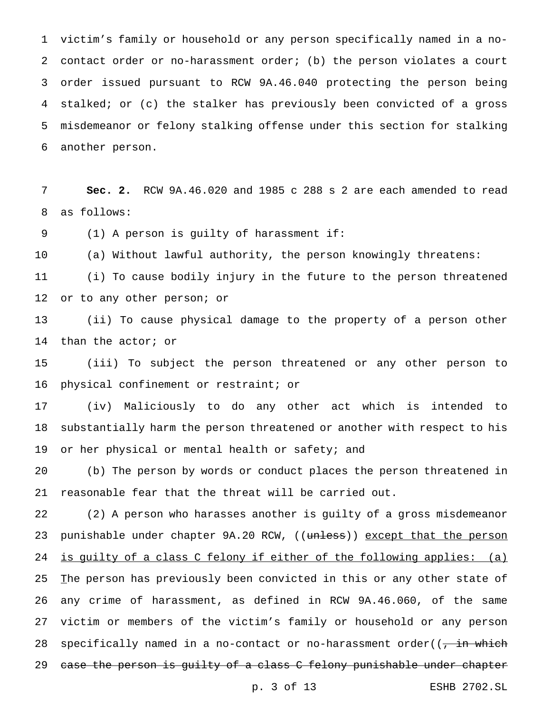victim's family or household or any person specifically named in a no- contact order or no-harassment order; (b) the person violates a court order issued pursuant to RCW 9A.46.040 protecting the person being stalked; or (c) the stalker has previously been convicted of a gross misdemeanor or felony stalking offense under this section for stalking another person.

 **Sec. 2.** RCW 9A.46.020 and 1985 c 288 s 2 are each amended to read as follows:

(1) A person is guilty of harassment if:

(a) Without lawful authority, the person knowingly threatens:

 (i) To cause bodily injury in the future to the person threatened or to any other person; or

 (ii) To cause physical damage to the property of a person other than the actor; or

 (iii) To subject the person threatened or any other person to physical confinement or restraint; or

 (iv) Maliciously to do any other act which is intended to substantially harm the person threatened or another with respect to his 19 or her physical or mental health or safety; and

 (b) The person by words or conduct places the person threatened in reasonable fear that the threat will be carried out.

 (2) A person who harasses another is guilty of a gross misdemeanor 23 punishable under chapter 9A.20 RCW, ((unless)) except that the person 24 is guilty of a class C felony if either of the following applies: (a) 25 The person has previously been convicted in this or any other state of any crime of harassment, as defined in RCW 9A.46.060, of the same victim or members of the victim's family or household or any person 28 specifically named in a no-contact or no-harassment order( $\overline{z}$  ), which 29 case the person is guilty of a class C felony punishable under chapter

p. 3 of 13 ESHB 2702.SL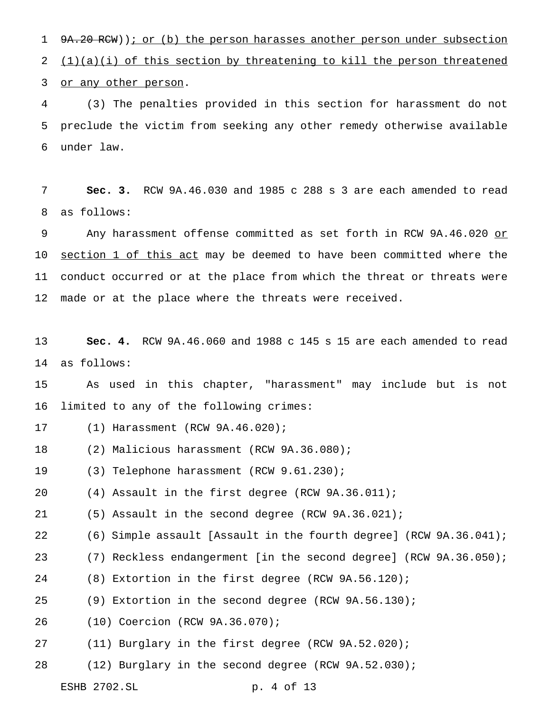1 9A.20 RCW)); or (b) the person harasses another person under subsection 2  $(1)(a)(i)$  of this section by threatening to kill the person threatened 3 or any other person.

 (3) The penalties provided in this section for harassment do not preclude the victim from seeking any other remedy otherwise available under law.

 **Sec. 3.** RCW 9A.46.030 and 1985 c 288 s 3 are each amended to read as follows:

9 Any harassment offense committed as set forth in RCW 9A.46.020 or section 1 of this act may be deemed to have been committed where the conduct occurred or at the place from which the threat or threats were 12 made or at the place where the threats were received.

 **Sec. 4.** RCW 9A.46.060 and 1988 c 145 s 15 are each amended to read as follows:

 As used in this chapter, "harassment" may include but is not limited to any of the following crimes:

- (1) Harassment (RCW 9A.46.020);
- (2) Malicious harassment (RCW 9A.36.080);

(3) Telephone harassment (RCW 9.61.230);

(4) Assault in the first degree (RCW 9A.36.011);

(5) Assault in the second degree (RCW 9A.36.021);

(6) Simple assault [Assault in the fourth degree] (RCW 9A.36.041);

(7) Reckless endangerment [in the second degree] (RCW 9A.36.050);

(8) Extortion in the first degree (RCW 9A.56.120);

(9) Extortion in the second degree (RCW 9A.56.130);

- (10) Coercion (RCW 9A.36.070);
- (11) Burglary in the first degree (RCW 9A.52.020);

(12) Burglary in the second degree (RCW 9A.52.030);

ESHB 2702.SL p. 4 of 13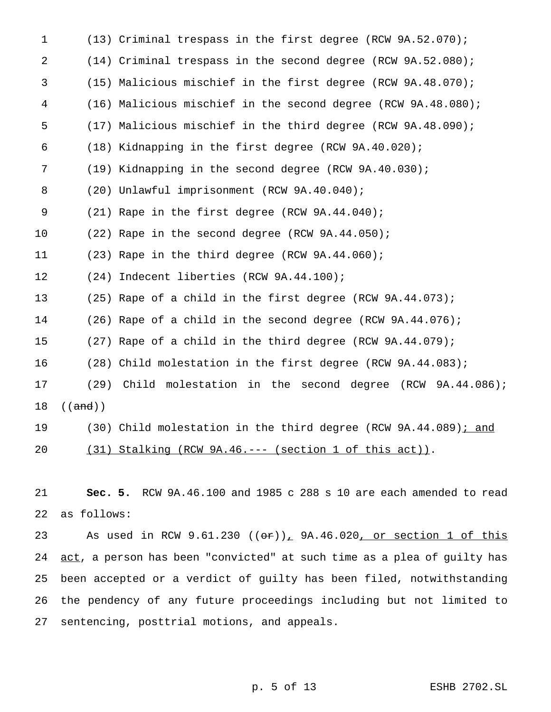| $\mathbf 1$ | $(13)$ Criminal trespass in the first degree (RCW 9A.52.070);                  |
|-------------|--------------------------------------------------------------------------------|
| 2           | $(14)$ Criminal trespass in the second degree (RCW 9A.52.080);                 |
| 3           | (15) Malicious mischief in the first degree (RCW 9A.48.070);                   |
| 4           | (16) Malicious mischief in the second degree (RCW 9A.48.080);                  |
| 5           | (17) Malicious mischief in the third degree (RCW 9A.48.090);                   |
| 6           | (18) Kidnapping in the first degree (RCW 9A.40.020);                           |
| 7           | (19) Kidnapping in the second degree (RCW 9A.40.030);                          |
| 8           | (20) Unlawful imprisonment (RCW 9A.40.040);                                    |
| 9           | (21) Rape in the first degree (RCW 9A.44.040);                                 |
| 10          | (22) Rape in the second degree (RCW 9A.44.050);                                |
| 11          | (23) Rape in the third degree (RCW 9A.44.060);                                 |
| 12          | (24) Indecent liberties (RCW 9A.44.100);                                       |
| 13          | $(25)$ Rape of a child in the first degree (RCW 9A.44.073);                    |
| 14          | $(26)$ Rape of a child in the second degree (RCW 9A.44.076);                   |
| 15          | $(27)$ Rape of a child in the third degree (RCW 9A.44.079);                    |
| 16          | (28) Child molestation in the first degree (RCW 9A.44.083);                    |
| 17          | (29) Child molestation in the second degree (RCW 9A.44.086);                   |
| 18          | ((and))                                                                        |
| 19          | (30) Child molestation in the third degree (RCW 9A.44.089); and                |
| 20          | (31) Stalking (RCW 9A.46.--- (section 1 of this act)).                         |
|             |                                                                                |
| 21          | Sec. 5. RCW 9A.46.100 and 1985 c 288 s 10 are each amended to read             |
| 22          | as follows:                                                                    |
| 23          | As used in RCW 9.61.230 $((\Theta \oplus f)_L$ 9A.46.020, or section 1 of this |
| 24          | act, a person has been "convicted" at such time as a plea of guilty has        |
| 25          | been accepted or a verdict of guilty has been filed, notwithstanding           |
| 26          | the pendency of any future proceedings including but not limited to            |
| 27          | sentencing, posttrial motions, and appeals.                                    |

p. 5 of 13 ESHB 2702.SL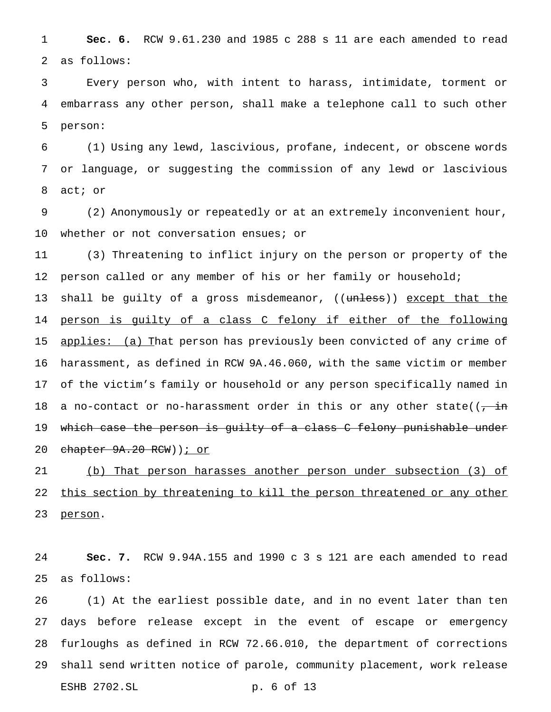**Sec. 6.** RCW 9.61.230 and 1985 c 288 s 11 are each amended to read as follows:

 Every person who, with intent to harass, intimidate, torment or embarrass any other person, shall make a telephone call to such other person:

 (1) Using any lewd, lascivious, profane, indecent, or obscene words or language, or suggesting the commission of any lewd or lascivious act; or

 (2) Anonymously or repeatedly or at an extremely inconvenient hour, 10 whether or not conversation ensues; or

 (3) Threatening to inflict injury on the person or property of the person called or any member of his or her family or household; 13 shall be guilty of a gross misdemeanor, ((unless)) except that the 14 person is guilty of a class C felony if either of the following 15 applies: (a) That person has previously been convicted of any crime of harassment, as defined in RCW 9A.46.060, with the same victim or member of the victim's family or household or any person specifically named in 18 a no-contact or no-harassment order in this or any other state( $(\frac{1}{2} + i\frac{1}{2})$  which case the person is guilty of a class C felony punishable under 20 chapter 9A.20 RCW) ) *i* or

 (b) That person harasses another person under subsection (3) of 22 this section by threatening to kill the person threatened or any other 23 person.

 **Sec. 7.** RCW 9.94A.155 and 1990 c 3 s 121 are each amended to read as follows:

 (1) At the earliest possible date, and in no event later than ten days before release except in the event of escape or emergency furloughs as defined in RCW 72.66.010, the department of corrections shall send written notice of parole, community placement, work release ESHB 2702.SL p. 6 of 13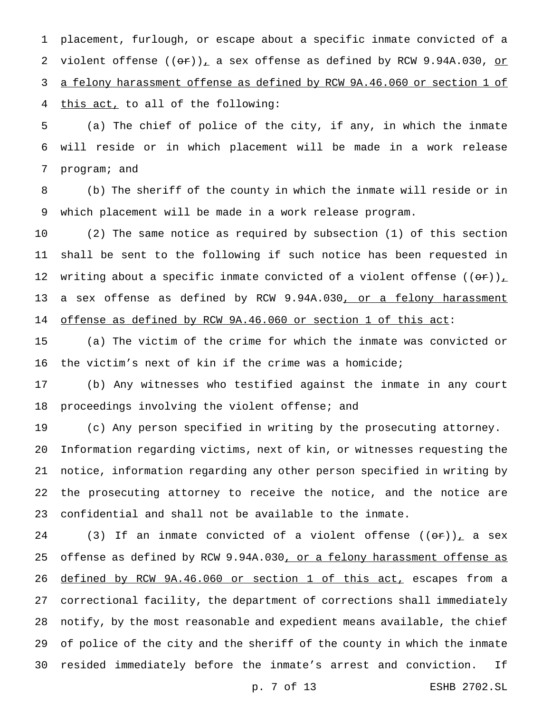placement, furlough, or escape about a specific inmate convicted of a 2 violent offense  $((\sigma \cdot r)_L)$  a sex offense as defined by RCW 9.94A.030, or a felony harassment offense as defined by RCW 9A.46.060 or section 1 of this act, to all of the following:

 (a) The chief of police of the city, if any, in which the inmate will reside or in which placement will be made in a work release program; and

 (b) The sheriff of the county in which the inmate will reside or in which placement will be made in a work release program.

 (2) The same notice as required by subsection (1) of this section shall be sent to the following if such notice has been requested in 12 writing about a specific inmate convicted of a violent offense  $((\Theta \cdot \mathbf{r}))_L$ 13 a sex offense as defined by RCW 9.94A.030, or a felony harassment offense as defined by RCW 9A.46.060 or section 1 of this act:

 (a) The victim of the crime for which the inmate was convicted or the victim's next of kin if the crime was a homicide;

 (b) Any witnesses who testified against the inmate in any court proceedings involving the violent offense; and

 (c) Any person specified in writing by the prosecuting attorney. Information regarding victims, next of kin, or witnesses requesting the notice, information regarding any other person specified in writing by the prosecuting attorney to receive the notice, and the notice are confidential and shall not be available to the inmate.

24 (3) If an inmate convicted of a violent offense  $((\theta \cdot \mathbf{r}))$ , a sex 25 offense as defined by RCW 9.94A.030, or a felony harassment offense as defined by RCW 9A.46.060 or section 1 of this act, escapes from a correctional facility, the department of corrections shall immediately notify, by the most reasonable and expedient means available, the chief of police of the city and the sheriff of the county in which the inmate resided immediately before the inmate's arrest and conviction. If

p. 7 of 13 ESHB 2702.SL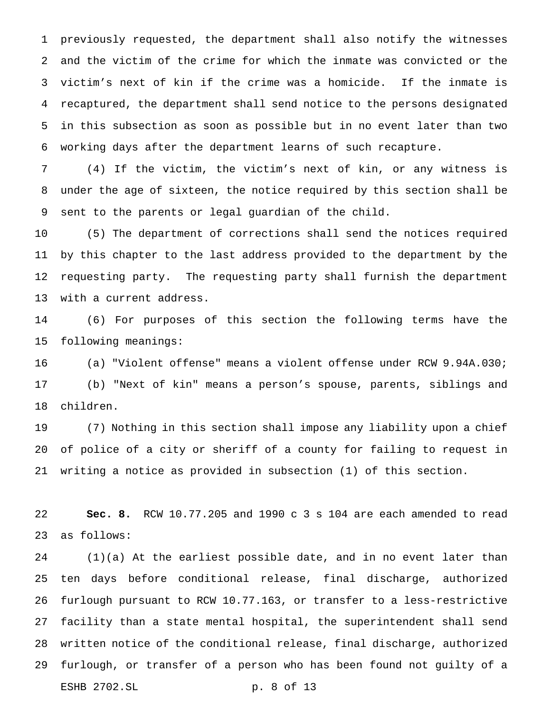previously requested, the department shall also notify the witnesses and the victim of the crime for which the inmate was convicted or the victim's next of kin if the crime was a homicide. If the inmate is recaptured, the department shall send notice to the persons designated in this subsection as soon as possible but in no event later than two working days after the department learns of such recapture.

 (4) If the victim, the victim's next of kin, or any witness is under the age of sixteen, the notice required by this section shall be sent to the parents or legal guardian of the child.

 (5) The department of corrections shall send the notices required by this chapter to the last address provided to the department by the requesting party. The requesting party shall furnish the department with a current address.

 (6) For purposes of this section the following terms have the following meanings:

 (a) "Violent offense" means a violent offense under RCW 9.94A.030; (b) "Next of kin" means a person's spouse, parents, siblings and children.

 (7) Nothing in this section shall impose any liability upon a chief of police of a city or sheriff of a county for failing to request in writing a notice as provided in subsection (1) of this section.

 **Sec. 8.** RCW 10.77.205 and 1990 c 3 s 104 are each amended to read as follows:

 (1)(a) At the earliest possible date, and in no event later than ten days before conditional release, final discharge, authorized furlough pursuant to RCW 10.77.163, or transfer to a less-restrictive facility than a state mental hospital, the superintendent shall send written notice of the conditional release, final discharge, authorized furlough, or transfer of a person who has been found not guilty of a ESHB 2702.SL p. 8 of 13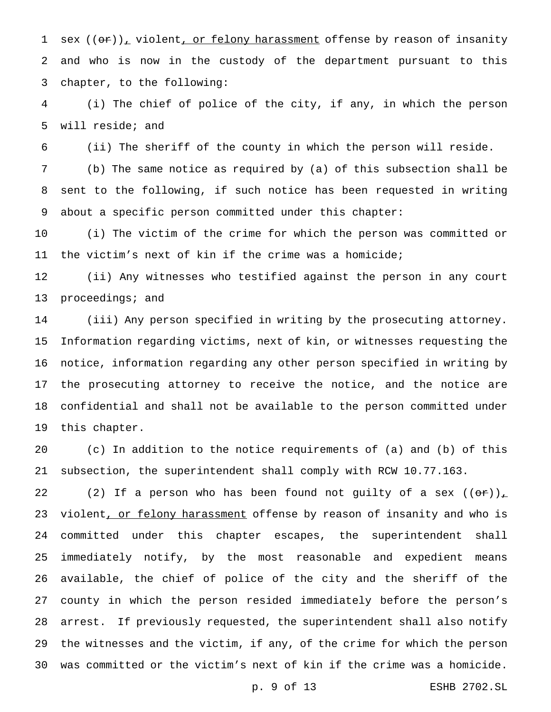1 sex  $((or))_r$  violent, or felony harassment offense by reason of insanity and who is now in the custody of the department pursuant to this chapter, to the following:

 (i) The chief of police of the city, if any, in which the person will reside; and

(ii) The sheriff of the county in which the person will reside.

 (b) The same notice as required by (a) of this subsection shall be sent to the following, if such notice has been requested in writing about a specific person committed under this chapter:

 (i) The victim of the crime for which the person was committed or the victim's next of kin if the crime was a homicide;

 (ii) Any witnesses who testified against the person in any court 13 proceedings; and

 (iii) Any person specified in writing by the prosecuting attorney. Information regarding victims, next of kin, or witnesses requesting the notice, information regarding any other person specified in writing by the prosecuting attorney to receive the notice, and the notice are confidential and shall not be available to the person committed under this chapter.

 (c) In addition to the notice requirements of (a) and (b) of this subsection, the superintendent shall comply with RCW 10.77.163.

22 (2) If a person who has been found not guilty of a sex  $((\theta \cdot \mathbf{r}))_+$ 23 violent, or felony harassment offense by reason of insanity and who is committed under this chapter escapes, the superintendent shall immediately notify, by the most reasonable and expedient means available, the chief of police of the city and the sheriff of the county in which the person resided immediately before the person's arrest. If previously requested, the superintendent shall also notify the witnesses and the victim, if any, of the crime for which the person was committed or the victim's next of kin if the crime was a homicide.

p. 9 of 13 ESHB 2702.SL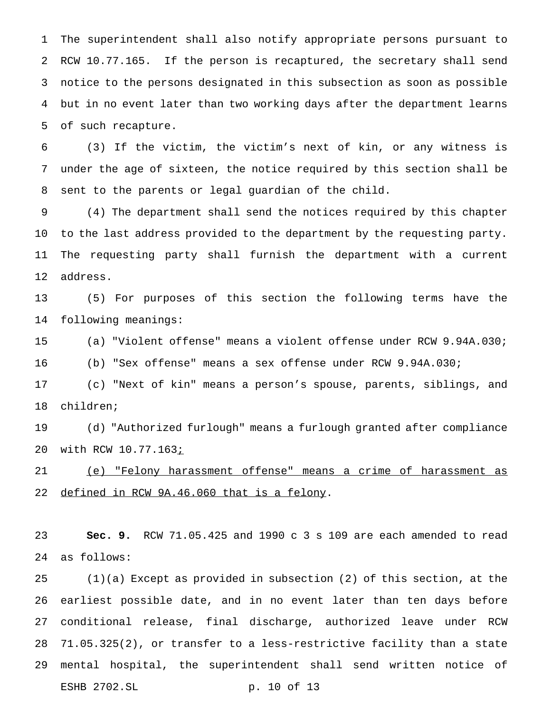The superintendent shall also notify appropriate persons pursuant to RCW 10.77.165. If the person is recaptured, the secretary shall send notice to the persons designated in this subsection as soon as possible but in no event later than two working days after the department learns of such recapture.

 (3) If the victim, the victim's next of kin, or any witness is under the age of sixteen, the notice required by this section shall be sent to the parents or legal guardian of the child.

 (4) The department shall send the notices required by this chapter to the last address provided to the department by the requesting party. The requesting party shall furnish the department with a current address.

 (5) For purposes of this section the following terms have the following meanings:

 (a) "Violent offense" means a violent offense under RCW 9.94A.030; (b) "Sex offense" means a sex offense under RCW 9.94A.030;

 (c) "Next of kin" means a person's spouse, parents, siblings, and children;

 (d) "Authorized furlough" means a furlough granted after compliance 20 with RCW 10.77.163 $\overline{\textit{i}}$ 

 (e) "Felony harassment offense" means a crime of harassment as defined in RCW 9A.46.060 that is a felony.

 **Sec. 9.** RCW 71.05.425 and 1990 c 3 s 109 are each amended to read as follows:

 (1)(a) Except as provided in subsection (2) of this section, at the earliest possible date, and in no event later than ten days before conditional release, final discharge, authorized leave under RCW 71.05.325(2), or transfer to a less-restrictive facility than a state mental hospital, the superintendent shall send written notice of ESHB 2702.SL p. 10 of 13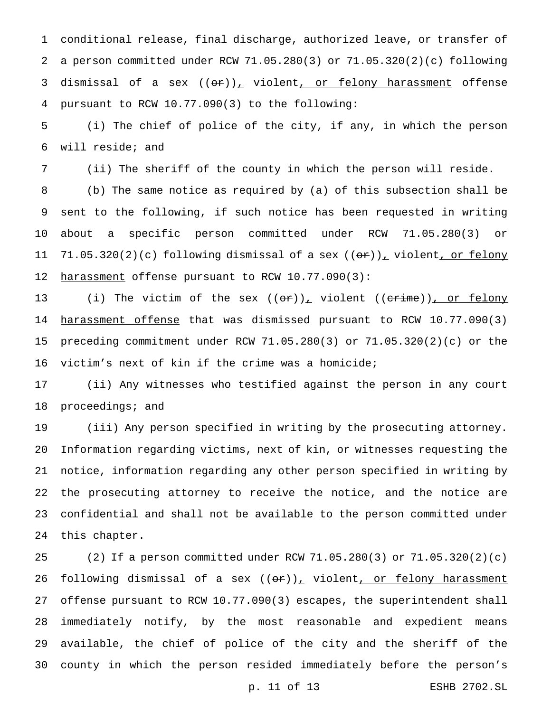conditional release, final discharge, authorized leave, or transfer of a person committed under RCW 71.05.280(3) or 71.05.320(2)(c) following 3 dismissal of a sex  $((or))_+$  violent, or felony harassment offense pursuant to RCW 10.77.090(3) to the following:

 (i) The chief of police of the city, if any, in which the person will reside; and

(ii) The sheriff of the county in which the person will reside.

 (b) The same notice as required by (a) of this subsection shall be sent to the following, if such notice has been requested in writing about a specific person committed under RCW 71.05.280(3) or 11 71.05.320(2)(c) following dismissal of a sex  $((e^+))_+$  violent, or felony 12 harassment offense pursuant to RCW 10.77.090(3):

13 (i) The victim of the sex  $((\sigma \rightarrow )_{\mathcal{L}})$  violent  $((\sigma \rightarrow )_{\mathcal{L}})$  or felony 14 <u>harassment offense</u> that was dismissed pursuant to RCW 10.77.090(3) preceding commitment under RCW 71.05.280(3) or 71.05.320(2)(c) or the victim's next of kin if the crime was a homicide;

 (ii) Any witnesses who testified against the person in any court 18 proceedings; and

 (iii) Any person specified in writing by the prosecuting attorney. Information regarding victims, next of kin, or witnesses requesting the notice, information regarding any other person specified in writing by the prosecuting attorney to receive the notice, and the notice are confidential and shall not be available to the person committed under this chapter.

 (2) If a person committed under RCW 71.05.280(3) or 71.05.320(2)(c) 26 following dismissal of a sex  $((\Theta \hat{r}))_+$  violent<u>, or felony harassment</u> offense pursuant to RCW 10.77.090(3) escapes, the superintendent shall immediately notify, by the most reasonable and expedient means available, the chief of police of the city and the sheriff of the county in which the person resided immediately before the person's

p. 11 of 13 ESHB 2702.SL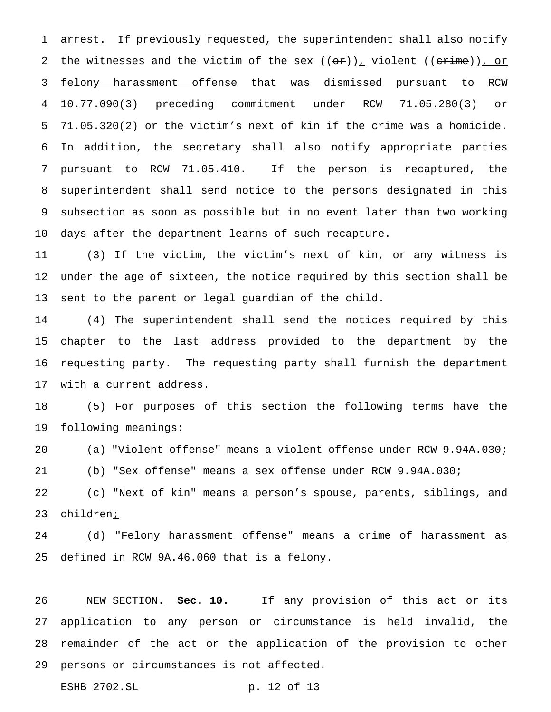arrest. If previously requested, the superintendent shall also notify 2 the witnesses and the victim of the sex  $((\theta \hat{r}))_+$  violent  $((\theta \hat{r}, \theta))_+$  or 3 felony harassment offense that was dismissed pursuant to RCW 10.77.090(3) preceding commitment under RCW 71.05.280(3) or 71.05.320(2) or the victim's next of kin if the crime was a homicide. In addition, the secretary shall also notify appropriate parties pursuant to RCW 71.05.410. If the person is recaptured, the superintendent shall send notice to the persons designated in this subsection as soon as possible but in no event later than two working days after the department learns of such recapture.

 (3) If the victim, the victim's next of kin, or any witness is under the age of sixteen, the notice required by this section shall be sent to the parent or legal guardian of the child.

 (4) The superintendent shall send the notices required by this chapter to the last address provided to the department by the requesting party. The requesting party shall furnish the department with a current address.

 (5) For purposes of this section the following terms have the following meanings:

(a) "Violent offense" means a violent offense under RCW 9.94A.030;

(b) "Sex offense" means a sex offense under RCW 9.94A.030;

 (c) "Next of kin" means a person's spouse, parents, siblings, and 23 children<u>;</u>

 (d) "Felony harassment offense" means a crime of harassment as defined in RCW 9A.46.060 that is a felony.

 NEW SECTION. **Sec. 10.** If any provision of this act or its application to any person or circumstance is held invalid, the remainder of the act or the application of the provision to other persons or circumstances is not affected.

ESHB 2702.SL p. 12 of 13